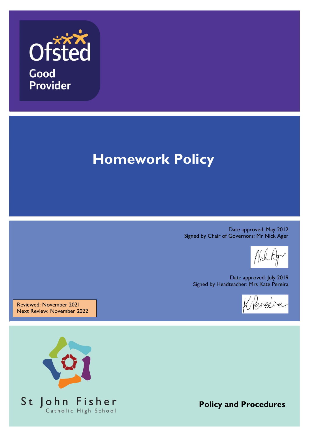

# **Homework Policy**

Date approved: May 2012 Signed by Chair of Governors: Mr Nick Ager

Date approved: July 2019 Signed by Headteacher: Mrs Kate Pereira

Klercira

Reviewed: November 2021 Next Review: November 2022



**Policy and Procedures**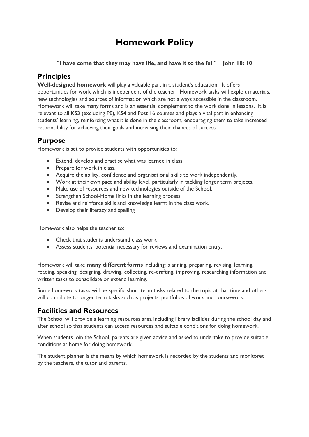## **Homework Policy**

#### **"I have come that they may have life, and have it to the full" John 10: 10**

## **Principles**

**Well-designed homework** will play a valuable part in a student's education. It offers opportunities for work which is independent of the teacher. Homework tasks will exploit materials, new technologies and sources of information which are not always accessible in the classroom. Homework will take many forms and is an essential complement to the work done in lessons. It is relevant to all KS3 (excluding PE), KS4 and Post 16 courses and plays a vital part in enhancing students' learning, reinforcing what it is done in the classroom, encouraging them to take increased responsibility for achieving their goals and increasing their chances of success.

## **Purpose**

Homework is set to provide students with opportunities to:

- Extend, develop and practise what was learned in class.
- Prepare for work in class.
- Acquire the ability, confidence and organisational skills to work independently.
- Work at their own pace and ability level, particularly in tackling longer term projects.
- Make use of resources and new technologies outside of the School.
- Strengthen School-Home links in the learning process.
- Revise and reinforce skills and knowledge learnt in the class work.
- Develop their literacy and spelling

Homework also helps the teacher to:

- Check that students understand class work.
- Assess students' potential necessary for reviews and examination entry.

Homework will take **many different forms** including: planning, preparing, revising, learning, reading, speaking, designing, drawing, collecting, re-drafting, improving, researching information and written tasks to consolidate or extend learning.

Some homework tasks will be specific short term tasks related to the topic at that time and others will contribute to longer term tasks such as projects, portfolios of work and coursework.

## **Facilities and Resources**

The School will provide a learning resources area including library facilities during the school day and after school so that students can access resources and suitable conditions for doing homework.

When students join the School, parents are given advice and asked to undertake to provide suitable conditions at home for doing homework.

The student planner is the means by which homework is recorded by the students and monitored by the teachers, the tutor and parents.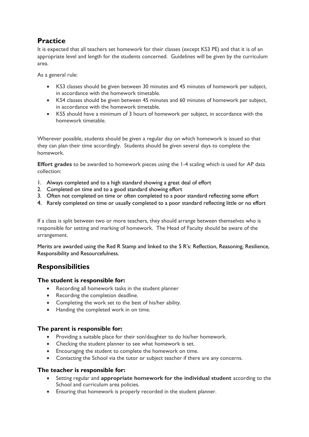## **Practice**

It is expected that all teachers set homework for their classes (except KS3 PE) and that it is of an appropriate level and length for the students concerned. Guidelines will be given by the curriculum area.

As a general rule:

- KS3 classes should be given between 30 minutes and 45 minutes of homework per subject, in accordance with the homework timetable.
- KS4 classes should be given between 45 minutes and 60 minutes of homework per subject, in accordance with the homework timetable.
- KS5 should have a minimum of 3 hours of homework per subject, in accordance with the homework timetable.

Wherever possible, students should be given a regular day on which homework is issued so that they can plan their time accordingly. Students should be given several days to complete the homework.

**Effort grades** to be awarded to homework pieces using the 1-4 scaling which is used for AP data collection:

- 1. Always completed and to a high standard showing a great deal of effort
- 2. Completed on time and to a good standard showing effort
- 3. Often not completed on time or often completed to a poor standard reflecting some effort
- 4. Rarely completed on time or usually completed to a poor standard reflecting little or no effort

If a class is split between two or more teachers, they should arrange between themselves who is responsible for setting and marking of homework. The Head of Faculty should be aware of the arrangement.

Merits are awarded using the Red R Stamp and linked to the 5 R's: Reflection, Reasoning, Resilience, Responsibility and Resourcefulness.

## **Responsibilities**

#### **The student is responsible for:**

- Recording all homework tasks in the student planner
- Recording the completion deadline.
- Completing the work set to the best of his/her ability.
- Handing the completed work in on time.

#### **The parent is responsible for:**

- Providing a suitable place for their son/daughter to do his/her homework.
- Checking the student planner to see what homework is set.
- Encouraging the student to complete the homework on time.
- Contacting the School via the tutor or subject teacher if there are any concerns.

#### **The teacher is responsible for:**

- Setting regular and **appropriate homework for the individual student** according to the School and curriculum area policies.
- Ensuring that homework is properly recorded in the student planner.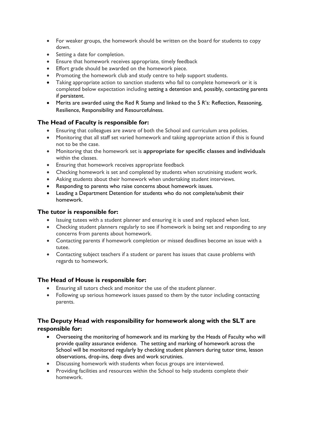- For weaker groups, the homework should be written on the board for students to copy down.
- Setting a date for completion.
- Ensure that homework receives appropriate, timely feedback
- Effort grade should be awarded on the homework piece.
- Promoting the homework club and study centre to help support students.
- Taking appropriate action to sanction students who fail to complete homework or it is completed below expectation including setting a detention and, possibly, contacting parents if persistent.
- Merits are awarded using the Red R Stamp and linked to the 5 R's: Reflection, Reasoning, Resilience, Responsibility and Resourcefulness.

#### **The Head of Faculty is responsible for:**

- Ensuring that colleagues are aware of both the School and curriculum area policies.
- Monitoring that all staff set varied homework and taking appropriate action if this is found not to be the case.
- Monitoring that the homework set is **appropriate for specific classes and individuals** within the classes.
- Ensuring that homework receives appropriate feedback
- Checking homework is set and completed by students when scrutinising student work.
- Asking students about their homework when undertaking student interviews.
- Responding to parents who raise concerns about homework issues.
- Leading a Department Detention for students who do not complete/submit their homework.

#### **The tutor is responsible for:**

- Issuing tutees with a student planner and ensuring it is used and replaced when lost.
- Checking student planners regularly to see if homework is being set and responding to any concerns from parents about homework.
- Contacting parents if homework completion or missed deadlines become an issue with a tutee.
- Contacting subject teachers if a student or parent has issues that cause problems with regards to homework.

#### **The Head of House is responsible for:**

- Ensuring all tutors check and monitor the use of the student planner.
- Following up serious homework issues passed to them by the tutor including contacting parents.

#### **The Deputy Head with responsibility for homework along with the SLT are responsible for:**

- Overseeing the monitoring of homework and its marking by the Heads of Faculty who will provide quality assurance evidence. The setting and marking of homework across the School will be monitored regularly by checking student planners during tutor time, lesson observations, drop-ins, deep dives and work scrutinies.
- Discussing homework with students when focus groups are interviewed.
- Providing facilities and resources within the School to help students complete their homework.